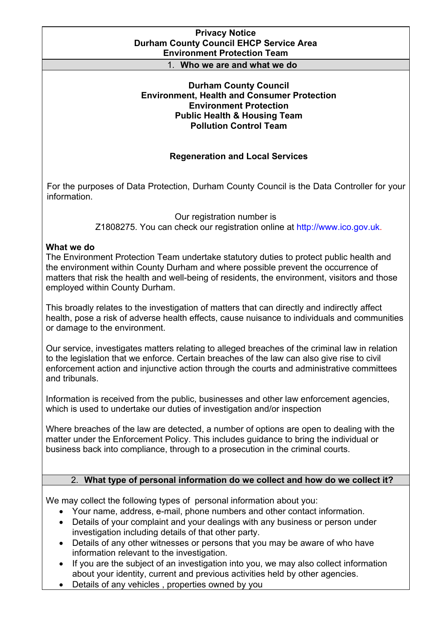### **Privacy Notice Durham County Council EHCP Service Area Environment Protection Team**

#### 1. **Who we are and what we do**

### **Durham County Council Environment, Health and Consumer Protection Environment Protection Public Health & Housing Team Pollution Control Team**

## **Regeneration and Local Services**

For the purposes of Data Protection, Durham County Council is the Data Controller for your information.

> Our registration number is Z1808275. You can check our registration online at [http://www.ico.gov.uk.](http://www.ico.gov.uk)

### **What we do**

The Environment Protection Team undertake statutory duties to protect public health and the environment within County Durham and where possible prevent the occurrence of matters that risk the health and well-being of residents, the environment, visitors and those employed within County Durham.

This broadly relates to the investigation of matters that can directly and indirectly affect health, pose a risk of adverse health effects, cause nuisance to individuals and communities or damage to the environment.

Our service, investigates matters relating to alleged breaches of the criminal law in relation to the legislation that we enforce. Certain breaches of the law can also give rise to civil enforcement action and injunctive action through the courts and administrative committees and tribunals.

Information is received from the public, businesses and other law enforcement agencies, which is used to undertake our duties of investigation and/or inspection

Where breaches of the law are detected, a number of options are open to dealing with the matter under the Enforcement Policy. This includes guidance to bring the individual or business back into compliance, through to a prosecution in the criminal courts.

## 2. **What type of personal information do we collect and how do we collect it?**

We may collect the following types of personal information about you:

- Your name, address, e-mail, phone numbers and other contact information.
- Details of your complaint and your dealings with any business or person under investigation including details of that other party.
- Details of any other witnesses or persons that you may be aware of who have information relevant to the investigation.
- If you are the subject of an investigation into you, we may also collect information about your identity, current and previous activities held by other agencies.
- Details of any vehicles , properties owned by you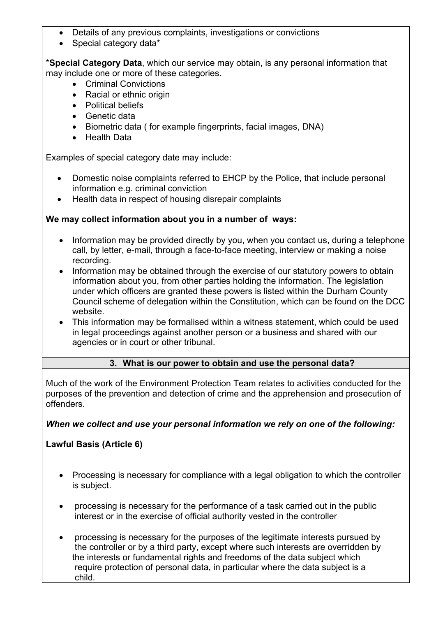- Details of any previous complaints, investigations or convictions
- Special category data\*

\***Special Category Data**, which our service may obtain, is any personal information that may include one or more of these categories.

- Criminal Convictions
- Racial or ethnic origin
- Political beliefs
- Genetic data
- Biometric data ( for example fingerprints, facial images, DNA)
- Health Data

Examples of special category date may include:

- Domestic noise complaints referred to EHCP by the Police, that include personal information e.g. criminal conviction
- Health data in respect of housing disrepair complaints

## **We may collect information about you in a number of ways:**

- Information may be provided directly by you, when you contact us, during a telephone call, by letter, e-mail, through a face-to-face meeting, interview or making a noise recording.
- Information may be obtained through the exercise of our statutory powers to obtain information about you, from other parties holding the information. The legislation under which officers are granted these powers is listed within the Durham County Council scheme of delegation within the Constitution, which can be found on the DCC website.
- This information may be formalised within a witness statement, which could be used in legal proceedings against another person or a business and shared with our agencies or in court or other tribunal.

## **3. What is our power to obtain and use the personal data?**

Much of the work of the Environment Protection Team relates to activities conducted for the purposes of the prevention and detection of crime and the apprehension and prosecution of offenders.

## *When we collect and use your personal information we rely on one of the following:*

**Lawful Basis (Article 6)**

- Processing is necessary for compliance with a legal obligation to which the controller is subject.
- processing is necessary for the performance of a task carried out in the public interest or in the exercise of official authority vested in the controller
- processing is necessary for the purposes of the legitimate interests pursued by the controller or by a third party, except where such interests are overridden by the interests or fundamental rights and freedoms of the data subject which require protection of personal data, in particular where the data subject is a child.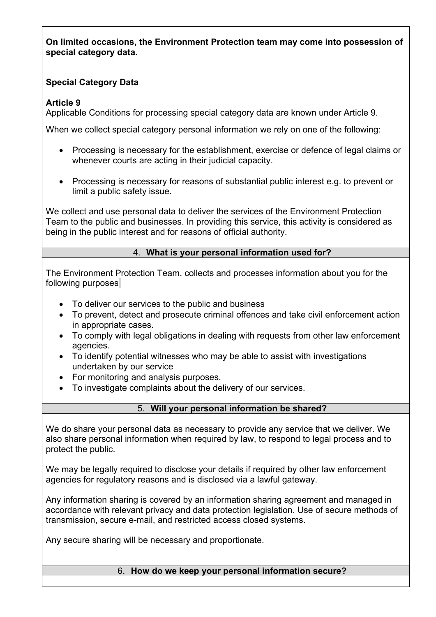**On limited occasions, the Environment Protection team may come into possession of special category data.**

# **Special Category Data**

# **Article 9**

Applicable Conditions for processing special category data are known under Article 9.

When we collect special category personal information we rely on one of the following:

- Processing is necessary for the establishment, exercise or defence of legal claims or whenever courts are acting in their judicial capacity.
- Processing is necessary for reasons of substantial public interest e.g. to prevent or limit a public safety issue.

We collect and use personal data to deliver the services of the Environment Protection Team to the public and businesses. In providing this service, this activity is considered as being in the public interest and for reasons of official authority.

# 4. **What is your personal information used for?**

The Environment Protection Team, collects and processes information about you for the following purposes*:*

- To deliver our services to the public and business
- To prevent, detect and prosecute criminal offences and take civil enforcement action in appropriate cases.
- To comply with legal obligations in dealing with requests from other law enforcement agencies.
- To identify potential witnesses who may be able to assist with investigations undertaken by our service
- For monitoring and analysis purposes.
- To investigate complaints about the delivery of our services.

# 5. **Will your personal information be shared?**

We do share your personal data as necessary to provide any service that we deliver. We also share personal information when required by law, to respond to legal process and to protect the public.

We may be legally required to disclose your details if required by other law enforcement agencies for regulatory reasons and is disclosed via a lawful gateway.

Any information sharing is covered by an information sharing agreement and managed in accordance with relevant privacy and data protection legislation. Use of secure methods of transmission, secure e-mail, and restricted access closed systems.

Any secure sharing will be necessary and proportionate.

6. **How do we keep your personal information secure?**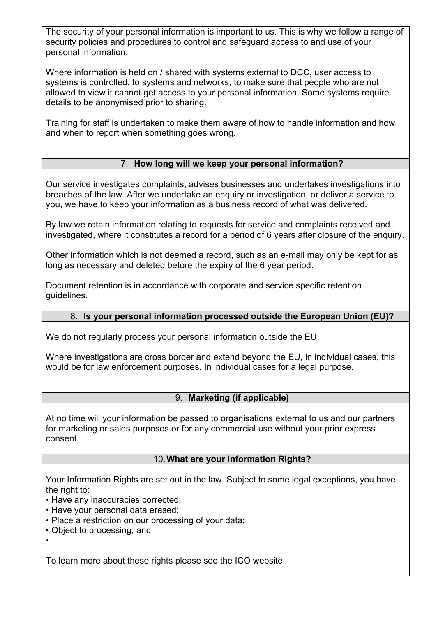The security of your personal information is important to us. This is why we follow a range of security policies and procedures to control and safeguard access to and use of your personal information.

Where information is held on / shared with systems external to DCC, user access to systems is controlled, to systems and networks, to make sure that people who are not allowed to view it cannot get access to your personal information. Some systems require details to be anonymised prior to sharing.

Training for staff is undertaken to make them aware of how to handle information and how and when to report when something goes wrong.

# 7. **How long will we keep your personal information?**

Our service investigates complaints, advises businesses and undertakes investigations into breaches of the law. After we undertake an enquiry or investigation, or deliver a service to you, we have to keep your information as a business record of what was delivered.

By law we retain information relating to requests for service and complaints received and investigated, where it constitutes a record for a period of 6 years after closure of the enquiry.

Other information which is not deemed a record, such as an e-mail may only be kept for as long as necessary and deleted before the expiry of the 6 year period.

Document retention is in accordance with corporate and service specific retention guidelines.

## 8. **Is your personal information processed outside the European Union (EU)?**

We do not regularly process your personal information outside the EU.

Where investigations are cross border and extend beyond the EU, in individual cases, this would be for law enforcement purposes. In individual cases for a legal purpose.

### 9. **Marketing (if applicable)**

At no time will your information be passed to organisations external to us and our partners for marketing or sales purposes or for any commercial use without your prior express consent.

### 10.**What are your Information Rights?**

Your Information Rights are set out in the law. Subject to some legal exceptions, you have the right to:

- Have any inaccuracies corrected;
- Have your personal data erased;
- Place a restriction on our processing of your data;
- Object to processing; and
- •

To learn more about these rights please see the ICO website.